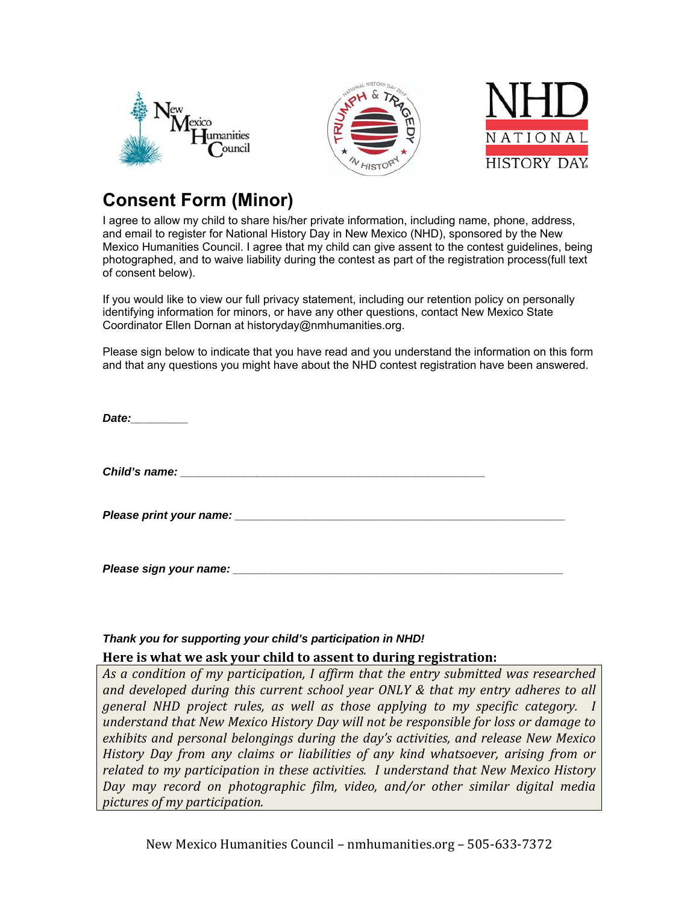





## **Consent Form (Minor)**

I agree to allow my child to share his/her private information, including name, phone, address, and email to register for National History Day in New Mexico (NHD), sponsored by the New Mexico Humanities Council. I agree that my child can give assent to the contest guidelines, being photographed, and to waive liability during the contest as part of the registration process(full text of consent below).

If you would like to view our full privacy statement, including our retention policy on personally identifying information for minors, or have any other questions, contact New Mexico State Coordinator Ellen Dornan at historyday@nmhumanities.org.

Please sign below to indicate that you have read and you understand the information on this form and that any questions you might have about the NHD contest registration have been answered.

*Date:\_\_\_\_\_\_\_\_\_* 

*Child's name: \_\_\_\_\_\_\_\_\_\_\_\_\_\_\_\_\_\_\_\_\_\_\_\_\_\_\_\_\_\_\_\_\_\_\_\_\_\_\_\_\_\_\_\_\_\_\_\_* 

*Please print your name:* 

*Please sign your name:* 

## *Thank you for supporting your child's participation in NHD!*

## **Here is what we ask your child to assent to during registration:**

*As a condition of my participation, I affirm that the entry submitted was researched and developed during this current school year ONLY & that my entry adheres to all general NHD project rules, as well as those applying to my specific category. I understand that New Mexico History Day will not be responsible for loss or damage to exhibits and personal belongings during the day's activities, and release New Mexico History Day from any claims or liabilities of any kind whatsoever, arising from or related to my participation in these activities. I understand that New Mexico History Day may record on photographic film, video, and/or other similar digital media pictures of my participation.* 

New Mexico Humanities Council – nmhumanities.org – 505-633-7372